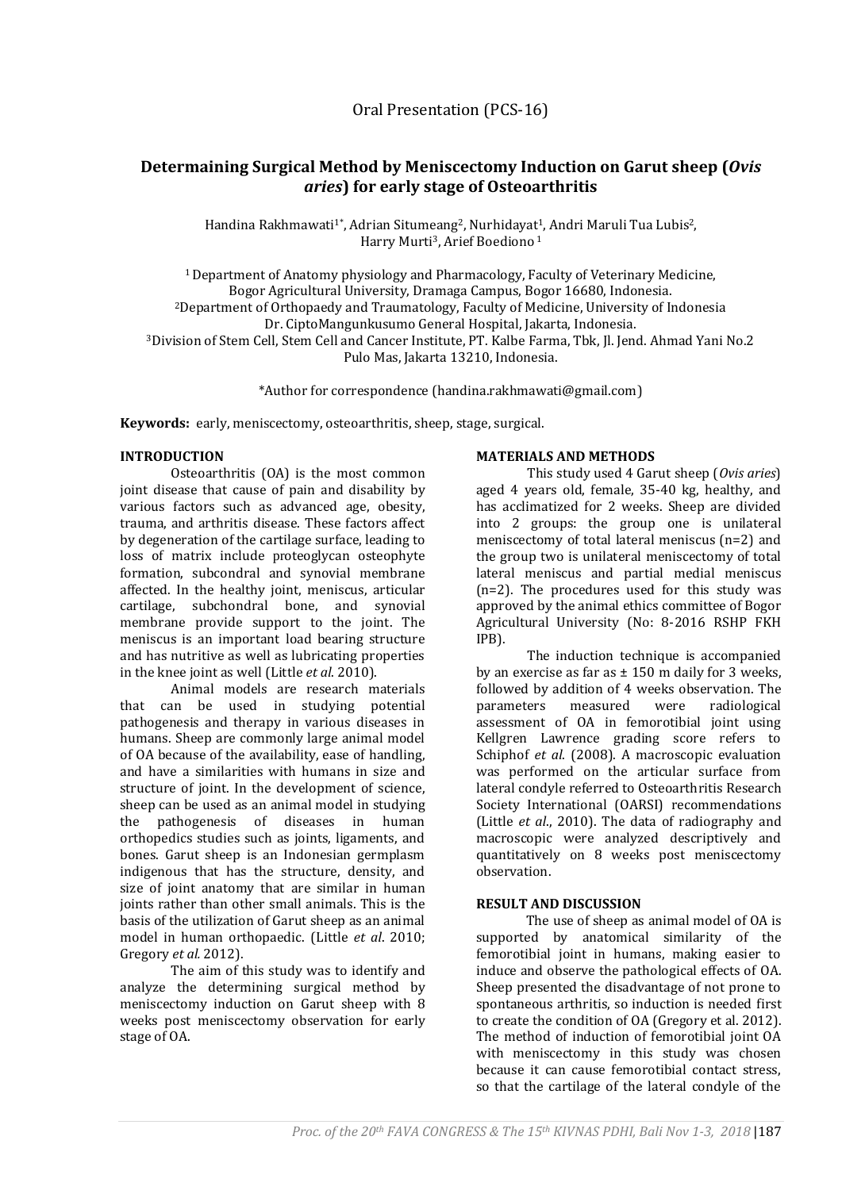# **Determaining Surgical Method by Meniscectomy Induction on Garut sheep (***Ovis aries***) for early stage of Osteoarthritis**

Handina Rakhmawati<sup>1\*</sup>, Adrian Situmeang<sup>2</sup>, Nurhidayat<sup>1</sup>, Andri Maruli Tua Lubis<sup>2</sup>, Harry Murti3, Arief Boediono <sup>1</sup>

<sup>1</sup> Department of Anatomy physiology and Pharmacology, Faculty of Veterinary Medicine, Bogor Agricultural University, Dramaga Campus, Bogor 16680, Indonesia. <sup>2</sup>Department of Orthopaedy and Traumatology, Faculty of Medicine, University of Indonesia Dr. CiptoMangunkusumo General Hospital, Jakarta, Indonesia. <sup>3</sup>Division of Stem Cell, Stem Cell and Cancer Institute, PT. Kalbe Farma, Tbk, Jl. Jend. Ahmad Yani No.2 Pulo Mas, Jakarta 13210, Indonesia.

\*Author for correspondence (handina.rakhmawati@gmail.com)

**Keywords:** early, meniscectomy, osteoarthritis, sheep, stage, surgical.

# **INTRODUCTION**

Osteoarthritis (OA) is the most common joint disease that cause of pain and disability by various factors such as advanced age, obesity, trauma, and arthritis disease. These factors affect by degeneration of the cartilage surface, leading to loss of matrix include proteoglycan osteophyte formation, subcondral and synovial membrane affected. In the healthy joint, meniscus, articular cartilage, subchondral bone, and synovial membrane provide support to the joint. The meniscus is an important load bearing structure and has nutritive as well as lubricating properties in the knee joint as well (Little *et al*. 2010).

Animal models are research materials that can be used in studying potential pathogenesis and therapy in various diseases in humans. Sheep are commonly large animal model of OA because of the availability, ease of handling, and have a similarities with humans in size and structure of joint. In the development of science, sheep can be used as an animal model in studying the pathogenesis of diseases in human orthopedics studies such as joints, ligaments, and bones. Garut sheep is an Indonesian germplasm indigenous that has the structure, density, and size of joint anatomy that are similar in human joints rather than other small animals. This is the basis of the utilization of Garut sheep as an animal model in human orthopaedic. (Little *et al*. 2010; Gregory *et al.* 2012).

The aim of this study was to identify and analyze the determining surgical method by meniscectomy induction on Garut sheep with 8 weeks post meniscectomy observation for early stage of OA.

## **MATERIALS AND METHODS**

This study used 4 Garut sheep (*Ovis aries*) aged 4 years old, female, 35-40 kg, healthy, and has acclimatized for 2 weeks. Sheep are divided into 2 groups: the group one is unilateral meniscectomy of total lateral meniscus (n=2) and the group two is unilateral meniscectomy of total lateral meniscus and partial medial meniscus (n=2). The procedures used for this study was approved by the animal ethics committee of Bogor Agricultural University (No: 8-2016 RSHP FKH IPB).

The induction technique is accompanied by an exercise as far as  $\pm$  150 m daily for 3 weeks, followed by addition of 4 weeks observation. The parameters measured were radiological assessment of OA in femorotibial joint using Kellgren Lawrence grading score refers to Schiphof *et al*. (2008). A macroscopic evaluation was performed on the articular surface from lateral condyle referred to Osteoarthritis Research Society International (OARSI) recommendations (Little *et al*., 2010). The data of radiography and macroscopic were analyzed descriptively and quantitatively on 8 weeks post meniscectomy observation.

## **RESULT AND DISCUSSION**

The use of sheep as animal model of OA is supported by anatomical similarity of the femorotibial joint in humans, making easier to induce and observe the pathological effects of OA. Sheep presented the disadvantage of not prone to spontaneous arthritis, so induction is needed first to create the condition of OA (Gregory et al. 2012). The method of induction of femorotibial joint OA with meniscectomy in this study was chosen because it can cause femorotibial contact stress, so that the cartilage of the lateral condyle of the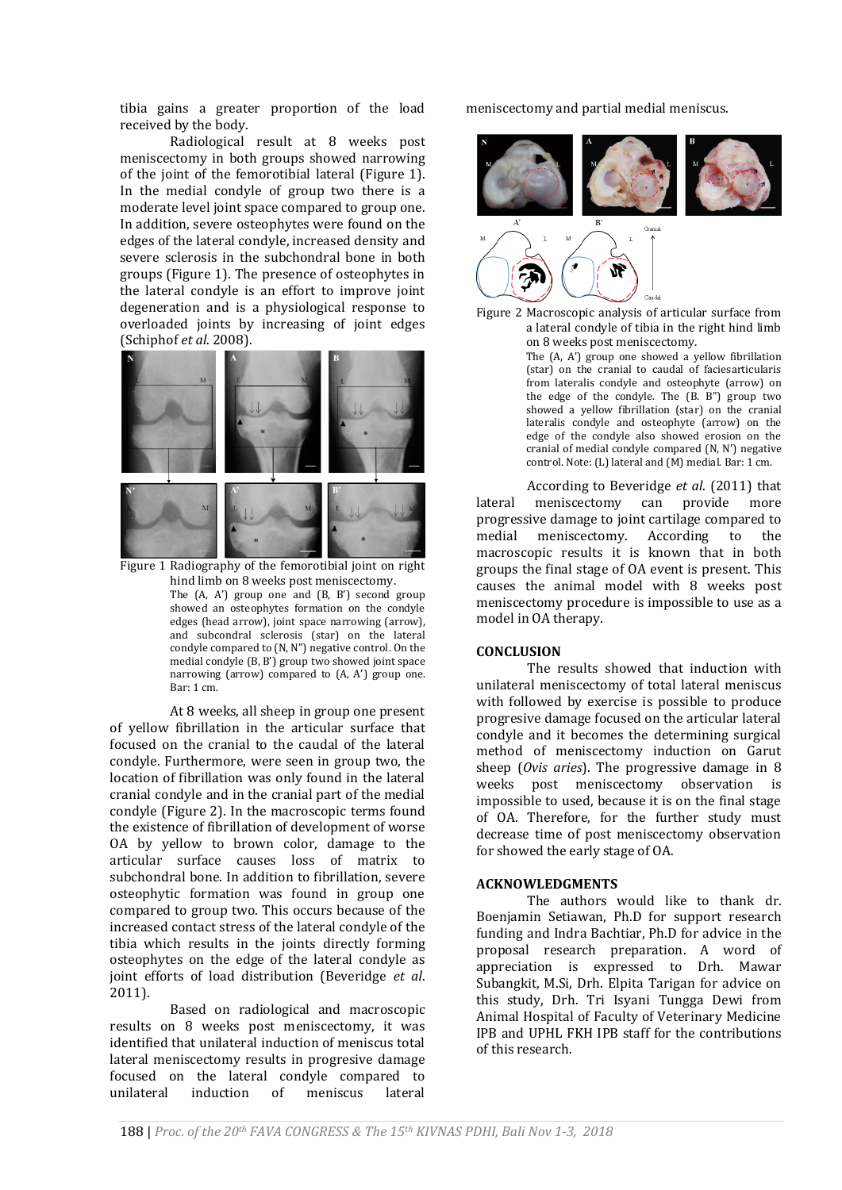tibia gains a greater proportion of the load received by the body.

Radiological result at 8 weeks post meniscectomy in both groups showed narrowing of the joint of the femorotibial lateral (Figure 1). In the medial condyle of group two there is a moderate level joint space compared to group one. In addition, severe osteophytes were found on the edges of the lateral condyle, increased density and severe sclerosis in the subchondral bone in both groups (Figure 1). The presence of osteophytes in the lateral condyle is an effort to improve joint degeneration and is a physiological response to overloaded joints by increasing of joint edges (Schiphof *et al*. 2008).



Figure 1 Radiography of the femorotibial joint on right hind limb on 8 weeks post meniscectomy. The (A, A') group one and (B, B') second group showed an osteophytes formation on the condyle edges (head arrow), joint space narrowing (arrow), and subcondral sclerosis (star) on the lateral condyle compared to (N, N") negative control. On the medial condyle (B, B') group two showed joint space narrowing (arrow) compared to (A, A') group one. Bar: 1 cm.

At 8 weeks, all sheep in group one present of yellow fibrillation in the articular surface that focused on the cranial to the caudal of the lateral condyle. Furthermore, were seen in group two, the location of fibrillation was only found in the lateral cranial condyle and in the cranial part of the medial condyle (Figure 2). In the macroscopic terms found the existence of fibrillation of development of worse OA by yellow to brown color, damage to the articular surface causes loss of matrix to subchondral bone. In addition to fibrillation, severe osteophytic formation was found in group one compared to group two. This occurs because of the increased contact stress of the lateral condyle of the tibia which results in the joints directly forming osteophytes on the edge of the lateral condyle as joint efforts of load distribution (Beveridge *et al*. 2011).

Based on radiological and macroscopic results on 8 weeks post meniscectomy, it was identified that unilateral induction of meniscus total lateral meniscectomy results in progresive damage focused on the lateral condyle compared to unilateral induction of meniscus lateral

meniscectomy and partial medial meniscus.



Figure 2 Macroscopic analysis of articular surface from a lateral condyle of tibia in the right hind limb on 8 weeks post meniscectomy.

The (A, A') group one showed a yellow fibrillation (star) on the cranial to caudal of faciesarticularis from lateralis condyle and osteophyte (arrow) on the edge of the condyle. The (B. B") group two showed a yellow fibrillation (star) on the cranial lateralis condyle and osteophyte (arrow) on the edge of the condyle also showed erosion on the cranial of medial condyle compared (N, N') negative control. Note: (L) lateral and (M) medial. Bar: 1 cm.

According to Beveridge *et al*. (2011) that lateral meniscectomy can provide more progressive damage to joint cartilage compared to medial meniscectomy. According to the macroscopic results it is known that in both groups the final stage of OA event is present. This causes the animal model with 8 weeks post meniscectomy procedure is impossible to use as a model in OA therapy.

#### **CONCLUSION**

The results showed that induction with unilateral meniscectomy of total lateral meniscus with followed by exercise is possible to produce progresive damage focused on the articular lateral condyle and it becomes the determining surgical method of meniscectomy induction on Garut sheep (*Ovis aries*). The progressive damage in 8 weeks post meniscectomy observation is impossible to used, because it is on the final stage of OA. Therefore, for the further study must decrease time of post meniscectomy observation for showed the early stage of OA.

## **ACKNOWLEDGMENTS**

The authors would like to thank dr. Boenjamin Setiawan, Ph.D for support research funding and Indra Bachtiar, Ph.D for advice in the proposal research preparation. A word of appreciation is expressed to Drh. Mawar Subangkit, M.Si, Drh. Elpita Tarigan for advice on this study, Drh. Tri Isyani Tungga Dewi from Animal Hospital of Faculty of Veterinary Medicine IPB and UPHL FKH IPB staff for the contributions of this research.